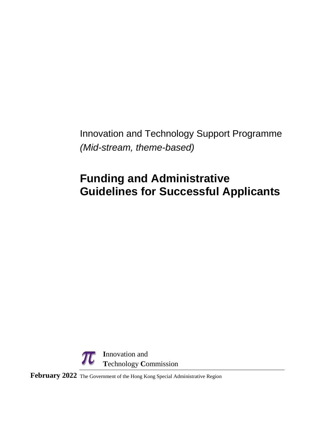Innovation and Technology Support Programme *(Mid-stream, theme-based)*

# **Funding and Administrative Guidelines for Successful Applicants**



**February 2022** The Government of the Hong Kong Special Administrative Region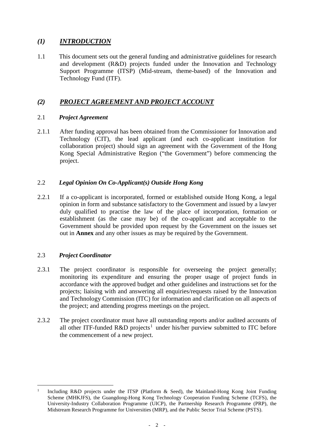# *(1) INTRODUCTION*

1.1 This document sets out the general funding and administrative guidelines for research and development (R&D) projects funded under the Innovation and Technology Support Programme (ITSP) (Mid-stream, theme-based) of the Innovation and Technology Fund (ITF).

# *(2) PROJECT AGREEMENT AND PROJECT ACCOUNT*

## 2.1 *Project Agreement*

2.1.1 After funding approval has been obtained from the Commissioner for Innovation and Technology (CIT), the lead applicant (and each co-applicant institution for collaboration project) should sign an agreement with the Government of the Hong Kong Special Administrative Region ("the Government") before commencing the project.

# 2.2 *Legal Opinion On Co-Applicant(s) Outside Hong Kong*

2.2.1 If a co-applicant is incorporated, formed or established outside Hong Kong, a legal opinion in form and substance satisfactory to the Government and issued by a lawyer duly qualified to practise the law of the place of incorporation, formation or establishment (as the case may be) of the co-applicant and acceptable to the Government should be provided upon request by the Government on the issues set out in **Annex** and any other issues as may be required by the Government.

# 2.3 *Project Coordinator*

- 2.3.1 The project coordinator is responsible for overseeing the project generally; monitoring its expenditure and ensuring the proper usage of project funds in accordance with the approved budget and other guidelines and instructions set for the projects; liaising with and answering all enquiries/requests raised by the Innovation and Technology Commission (ITC) for information and clarification on all aspects of the project; and attending progress meetings on the project.
- 2.3.2 The project coordinator must have all outstanding reports and/or audited accounts of all other ITF-funded R&D projects<sup>[1](#page-1-0)</sup> under his/her purview submitted to ITC before the commencement of a new project.

<span id="page-1-0"></span> <sup>1</sup> Including R&D projects under the ITSP (Platform & Seed), the Mainland-Hong Kong Joint Funding Scheme (MHKJFS), the Guangdong-Hong Kong Technology Cooperation Funding Scheme (TCFS), the University-Industry Collaboration Programme (UICP), the Partnership Research Programme (PRP), the Midstream Research Programme for Universities (MRP), and the Public Sector Trial Scheme (PSTS).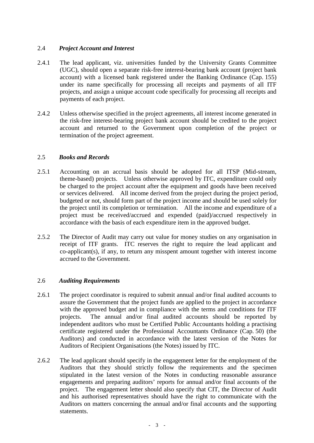## 2.4 *Project Account and Interest*

- 2.4.1 The lead applicant, viz. universities funded by the University Grants Committee (UGC), should open a separate risk-free interest-bearing bank account (project bank account) with a licensed bank registered under the Banking Ordinance (Cap. 155) under its name specifically for processing all receipts and payments of all ITF projects, and assign a unique account code specifically for processing all receipts and payments of each project.
- 2.4.2 Unless otherwise specified in the project agreements, all interest income generated in the risk-free interest-bearing project bank account should be credited to the project account and returned to the Government upon completion of the project or termination of the project agreement.

### 2.5 *Books and Records*

- 2.5.1 Accounting on an accrual basis should be adopted for all ITSP (Mid-stream, theme-based) projects. Unless otherwise approved by ITC, expenditure could only be charged to the project account after the equipment and goods have been received or services delivered. All income derived from the project during the project period, budgeted or not, should form part of the project income and should be used solely for the project until its completion or termination. All the income and expenditure of a project must be received/accrued and expended (paid)/accrued respectively in accordance with the basis of each expenditure item in the approved budget.
- 2.5.2 The Director of Audit may carry out value for money studies on any organisation in receipt of ITF grants. ITC reserves the right to require the lead applicant and co-applicant(s), if any, to return any misspent amount together with interest income accrued to the Government.

## 2.6 *Auditing Requirements*

- 2.6.1 The project coordinator is required to submit annual and/or final audited accounts to assure the Government that the project funds are applied to the project in accordance with the approved budget and in compliance with the terms and conditions for ITF projects. The annual and/or final audited accounts should be reported by independent auditors who must be Certified Public Accountants holding a practising certificate registered under the Professional Accountants Ordinance (Cap. 50) (the Auditors) and conducted in accordance with the latest version of the Notes for Auditors of Recipient Organisations (the Notes) issued by ITC.
- 2.6.2 The lead applicant should specify in the engagement letter for the employment of the Auditors that they should strictly follow the requirements and the specimen stipulated in the latest version of the Notes in conducting reasonable assurance engagements and preparing auditors' reports for annual and/or final accounts of the project. The engagement letter should also specify that CIT, the Director of Audit and his authorised representatives should have the right to communicate with the Auditors on matters concerning the annual and/or final accounts and the supporting statements.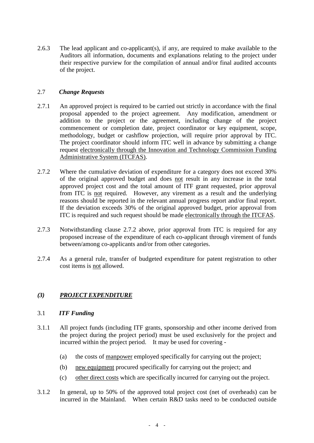2.6.3 The lead applicant and co-applicant(s), if any, are required to make available to the Auditors all information, documents and explanations relating to the project under their respective purview for the compilation of annual and/or final audited accounts of the project.

## 2.7 *Change Requests*

- 2.7.1 An approved project is required to be carried out strictly in accordance with the final proposal appended to the project agreement. Any modification, amendment or addition to the project or the agreement, including change of the project commencement or completion date, project coordinator or key equipment, scope, methodology, budget or cashflow projection, will require prior approval by ITC. The project coordinator should inform ITC well in advance by submitting a change request electronically through the Innovation and Technology Commission Funding Administrative System (ITCFAS).
- 2.7.2 Where the cumulative deviation of expenditure for a category does not exceed 30% of the original approved budget and does not result in any increase in the total approved project cost and the total amount of ITF grant requested, prior approval from ITC is not required. However, any virement as a result and the underlying reasons should be reported in the relevant annual progress report and/or final report. If the deviation exceeds 30% of the original approved budget, prior approval from ITC is required and such request should be made electronically through the ITCFAS.
- 2.7.3 Notwithstanding clause 2.7.2 above, prior approval from ITC is required for any proposed increase of the expenditure of each co-applicant through virement of funds between/among co-applicants and/or from other categories.
- 2.7.4 As a general rule, transfer of budgeted expenditure for patent registration to other cost items is not allowed.

## *(3) PROJECT EXPENDITURE*

#### 3.1 *ITF Funding*

- 3.1.1 All project funds (including ITF grants, sponsorship and other income derived from the project during the project period) must be used exclusively for the project and incurred within the project period. It may be used for covering -
	- (a) the costs of manpower employed specifically for carrying out the project;
	- (b) new equipment procured specifically for carrying out the project; and
	- (c) other direct costs which are specifically incurred for carrying out the project.
- 3.1.2 In general, up to 50% of the approved total project cost (net of overheads) can be incurred in the Mainland. When certain R&D tasks need to be conducted outside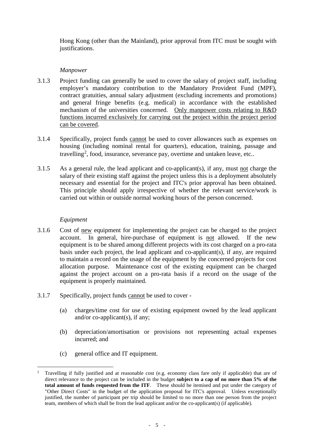Hong Kong (other than the Mainland), prior approval from ITC must be sought with justifications.

## *Manpower*

- 3.1.3 Project funding can generally be used to cover the salary of project staff, including employer's mandatory contribution to the Mandatory Provident Fund (MPF), contract gratuities, annual salary adjustment (excluding increments and promotions) and general fringe benefits (e.g. medical) in accordance with the established mechanism of the universities concerned. Only manpower costs relating to R&D functions incurred exclusively for carrying out the project within the project period can be covered.
- 3.1.4 Specifically, project funds cannot be used to cover allowances such as expenses on housing (including nominal rental for quarters), education, training, passage and travelling<sup>[2](#page-4-0)</sup>, food, insurance, severance pay, overtime and untaken leave, etc..
- 3.1.5 As a general rule, the lead applicant and co-applicant(s), if any, must not charge the salary of their existing staff against the project unless this is a deployment absolutely necessary and essential for the project and ITC's prior approval has been obtained. This principle should apply irrespective of whether the relevant service/work is carried out within or outside normal working hours of the person concerned.

### *Equipment*

- 3.1.6 Cost of new equipment for implementing the project can be charged to the project account. In general, hire-purchase of equipment is not allowed. If the new equipment is to be shared among different projects with its cost charged on a pro-rata basis under each project, the lead applicant and co-applicant(s), if any, are required to maintain a record on the usage of the equipment by the concerned projects for cost allocation purpose. Maintenance cost of the existing equipment can be charged against the project account on a pro-rata basis if a record on the usage of the equipment is properly maintained.
- 3.1.7 Specifically, project funds cannot be used to cover
	- (a) charges/time cost for use of existing equipment owned by the lead applicant and/or co-applicant(s), if any;
	- (b) depreciation/amortisation or provisions not representing actual expenses incurred; and
	- (c) general office and IT equipment.

<span id="page-4-0"></span> <sup>2</sup> Travelling if fully justified and at reasonable cost (e.g. economy class fare only if applicable) that are of direct relevance to the project can be included in the budget **subject to a cap of no more than 5% of the total amount of funds requested from the ITF**. These should be itemised and put under the category of "Other Direct Costs" in the budget of the application proposal for ITC's approval. Unless exceptionally justified, the number of participant per trip should be limited to no more than one person from the project team, members of which shall be from the lead applicant and/or the co-applicant(s) (if applicable).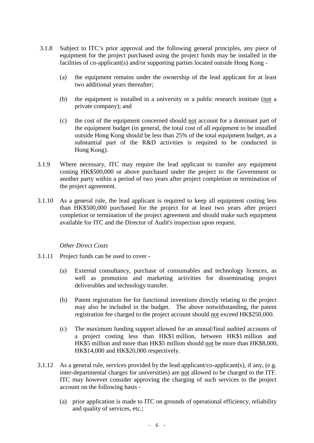- 3.1.8 Subject to ITC's prior approval and the following general principles, any piece of equipment for the project purchased using the project funds may be installed in the facilities of co-applicant(s) and/or supporting parties located outside Hong Kong -
	- (a) the equipment remains under the ownership of the lead applicant for at least two additional years thereafter;
	- (b) the equipment is installed in a university or a public research institute (not a private company); and
	- (c) the cost of the equipment concerned should not account for a dominant part of the equipment budget (in general, the total cost of all equipment to be installed outside Hong Kong should be less than 25% of the total equipment budget, as a substantial part of the R&D activities is required to be conducted in Hong Kong).
- 3.1.9 Where necessary, ITC may require the lead applicant to transfer any equipment costing HK\$500,000 or above purchased under the project to the Government or another party within a period of two years after project completion or termination of the project agreement.
- 3.1.10 As a general rule, the lead applicant is required to keep all equipment costing less than HK\$500,000 purchased for the project for at least two years after project completion or termination of the project agreement and should make such equipment available for ITC and the Director of Audit's inspection upon request.

#### *Other Direct Costs*

- 3.1.11 Project funds can be used to cover
	- (a) External consultancy, purchase of consumables and technology licences, as well as promotion and marketing activities for disseminating project deliverables and technology transfer.
	- (b) Patent registration fee for functional inventions directly relating to the project may also be included in the budget. The above notwithstanding, the patent registration fee charged to the project account should not exceed HK\$250,000.
	- (c) The maximum funding support allowed for an annual/final audited accounts of a project costing less than HK\$1 million, between HK\$1 million and HK\$5 million and more than HK\$5 million should not be more than HK\$8,000, HK\$14,000 and HK\$20,000 respectively.
- 3.1.12 As a general rule, services provided by the lead applicant/co-applicant(s), if any, (e.g. inter-departmental charges for universities) are not allowed to be charged to the ITF. ITC may however consider approving the charging of such services to the project account on the following basis -
	- (a) prior application is made to ITC on grounds of operational efficiency, reliability and quality of services, etc.;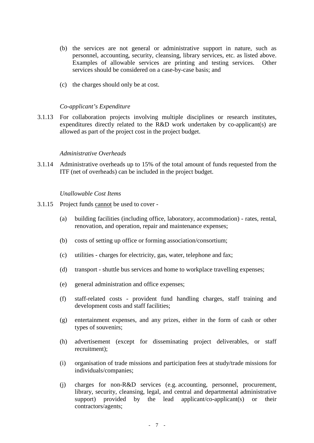- (b) the services are not general or administrative support in nature, such as personnel, accounting, security, cleansing, library services, etc. as listed above. Examples of allowable services are printing and testing services. Other services should be considered on a case-by-case basis; and
- (c) the charges should only be at cost.

#### *Co-applicant's Expenditure*

3.1.13 For collaboration projects involving multiple disciplines or research institutes, expenditures directly related to the R&D work undertaken by co-applicant(s) are allowed as part of the project cost in the project budget.

#### *Administrative Overheads*

3.1.14 Administrative overheads up to 15% of the total amount of funds requested from the ITF (net of overheads) can be included in the project budget.

#### *Unallowable Cost Items*

- 3.1.15 Project funds cannot be used to cover
	- (a) building facilities (including office, laboratory, accommodation) rates, rental, renovation, and operation, repair and maintenance expenses;
	- (b) costs of setting up office or forming association/consortium;
	- (c) utilities charges for electricity, gas, water, telephone and fax;
	- (d) transport shuttle bus services and home to workplace travelling expenses;
	- (e) general administration and office expenses;
	- (f) staff-related costs provident fund handling charges, staff training and development costs and staff facilities;
	- (g) entertainment expenses, and any prizes, either in the form of cash or other types of souvenirs;
	- (h) advertisement (except for disseminating project deliverables, or staff recruitment);
	- (i) organisation of trade missions and participation fees at study/trade missions for individuals/companies;
	- (j) charges for non-R&D services (e.g. accounting, personnel, procurement, library, security, cleansing, legal, and central and departmental administrative support) provided by the lead applicant/co-applicant(s) or their contractors/agents;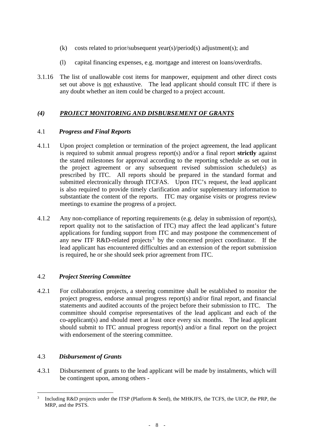- (k) costs related to prior/subsequent year(s)/period(s) adjustment(s); and
- (l) capital financing expenses, e.g. mortgage and interest on loans/overdrafts.
- 3.1.16 The list of unallowable cost items for manpower, equipment and other direct costs set out above is not exhaustive. The lead applicant should consult ITC if there is any doubt whether an item could be charged to a project account.

# *(4) PROJECT MONITORING AND DISBURSEMENT OF GRANTS*

## 4.1 *Progress and Final Reports*

- 4.1.1 Upon project completion or termination of the project agreement, the lead applicant is required to submit annual progress report(s) and/or a final report **strictly** against the stated milestones for approval according to the reporting schedule as set out in the project agreement or any subsequent revised submission schedule(s) as prescribed by ITC. All reports should be prepared in the standard format and submitted electronically through ITCFAS. Upon ITC's request, the lead applicant is also required to provide timely clarification and/or supplementary information to substantiate the content of the reports. ITC may organise visits or progress review meetings to examine the progress of a project.
- 4.1.2 Any non-compliance of reporting requirements (e.g. delay in submission of report(s), report quality not to the satisfaction of ITC) may affect the lead applicant's future applications for funding support from ITC and may postpone the commencement of any new ITF R&D-related projects<sup>[3](#page-7-0)</sup> by the concerned project coordinator. If the lead applicant has encountered difficulties and an extension of the report submission is required, he or she should seek prior agreement from ITC.

# 4.2 *Project Steering Committee*

4.2.1 For collaboration projects, a steering committee shall be established to monitor the project progress, endorse annual progress report(s) and/or final report, and financial statements and audited accounts of the project before their submission to ITC. The committee should comprise representatives of the lead applicant and each of the co-applicant(s) and should meet at least once every six months. The lead applicant should submit to ITC annual progress report(s) and/or a final report on the project with endorsement of the steering committee.

# 4.3 *Disbursement of Grants*

4.3.1 Disbursement of grants to the lead applicant will be made by instalments, which will be contingent upon, among others -

<span id="page-7-0"></span>Including R&D projects under the ITSP (Platform & Seed), the MHKJFS, the TCFS, the UICP, the PRP, the MRP, and the PSTS.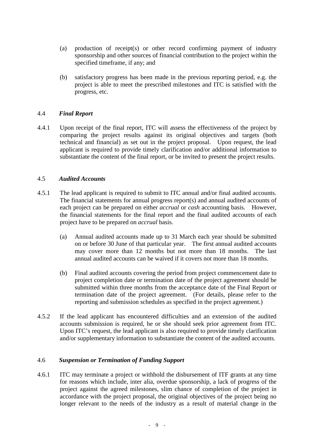- (a) production of receipt(s) or other record confirming payment of industry sponsorship and other sources of financial contribution to the project within the specified timeframe, if any; and
- (b) satisfactory progress has been made in the previous reporting period, e.g. the project is able to meet the prescribed milestones and ITC is satisfied with the progress, etc.

### 4.4 *Final Report*

4.4.1 Upon receipt of the final report, ITC will assess the effectiveness of the project by comparing the project results against its original objectives and targets (both technical and financial) as set out in the project proposal. Upon request, the lead applicant is required to provide timely clarification and/or additional information to substantiate the content of the final report, or be invited to present the project results.

#### 4.5 *Audited Accounts*

- 4.5.1 The lead applicant is required to submit to ITC annual and/or final audited accounts. The financial statements for annual progress report(s) and annual audited accounts of each project can be prepared on either *accrual* or *cash* accounting basis. However, the financial statements for the final report and the final audited accounts of each project have to be prepared on *accrual* basis.
	- (a) Annual audited accounts made up to 31 March each year should be submitted on or before 30 June of that particular year. The first annual audited accounts may cover more than 12 months but not more than 18 months. The last annual audited accounts can be waived if it covers not more than 18 months.
	- (b) Final audited accounts covering the period from project commencement date to project completion date or termination date of the project agreement should be submitted within three months from the acceptance date of the Final Report or termination date of the project agreement.(For details, please refer to the reporting and submission schedules as specified in the project agreement.)
- 4.5.2 If the lead applicant has encountered difficulties and an extension of the audited accounts submission is required, he or she should seek prior agreement from ITC. Upon ITC's request, the lead applicant is also required to provide timely clarification and/or supplementary information to substantiate the content of the audited accounts.

#### 4.6 *Suspension or Termination of Funding Support*

4.6.1 ITC may terminate a project or withhold the disbursement of ITF grants at any time for reasons which include, inter alia, overdue sponsorship, a lack of progress of the project against the agreed milestones, slim chance of completion of the project in accordance with the project proposal, the original objectives of the project being no longer relevant to the needs of the industry as a result of material change in the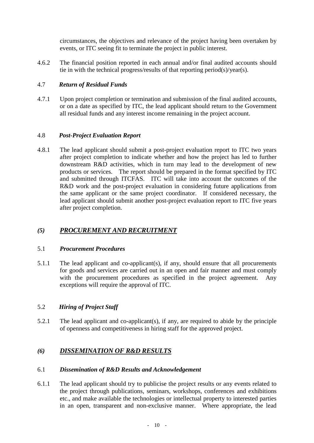circumstances, the objectives and relevance of the project having been overtaken by events, or ITC seeing fit to terminate the project in public interest.

4.6.2 The financial position reported in each annual and/or final audited accounts should tie in with the technical progress/results of that reporting period(s)/year(s).

## 4.7 *Return of Residual Funds*

4.7.1 Upon project completion or termination and submission of the final audited accounts, or on a date as specified by ITC, the lead applicant should return to the Government all residual funds and any interest income remaining in the project account.

## 4.8 *Post-Project Evaluation Report*

4.8.1 The lead applicant should submit a post-project evaluation report to ITC two years after project completion to indicate whether and how the project has led to further downstream R&D activities, which in turn may lead to the development of new products or services. The report should be prepared in the format specified by ITC and submitted through ITCFAS. ITC will take into account the outcomes of the R&D work and the post-project evaluation in considering future applications from the same applicant or the same project coordinator. If considered necessary, the lead applicant should submit another post-project evaluation report to ITC five years after project completion.

# *(5) PROCUREMENT AND RECRUITMENT*

## 5.1 *Procurement Procedures*

5.1.1 The lead applicant and co-applicant(s), if any, should ensure that all procurements for goods and services are carried out in an open and fair manner and must comply with the procurement procedures as specified in the project agreement. Any exceptions will require the approval of ITC.

## 5.2 *Hiring of Project Staff*

5.2.1 The lead applicant and co-applicant(s), if any, are required to abide by the principle of openness and competitiveness in hiring staff for the approved project.

# *(6) DISSEMINATION OF R&D RESULTS*

## 6.1 *Dissemination of R&D Results and Acknowledgement*

6.1.1 The lead applicant should try to publicise the project results or any events related to the project through publications, seminars, workshops, conferences and exhibitions etc., and make available the technologies or intellectual property to interested parties in an open, transparent and non-exclusive manner. Where appropriate, the lead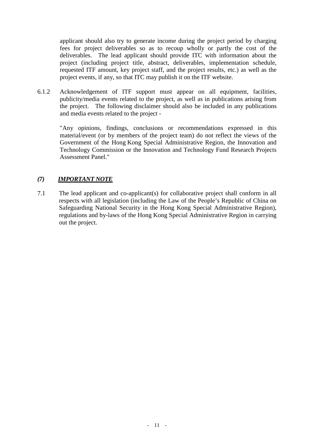applicant should also try to generate income during the project period by charging fees for project deliverables so as to recoup wholly or partly the cost of the deliverables. The lead applicant should provide ITC with information about the project (including project title, abstract, deliverables, implementation schedule, requested ITF amount, key project staff, and the project results, etc.) as well as the project events, if any, so that ITC may publish it on the ITF website.

6.1.2 Acknowledgement of ITF support must appear on all equipment, facilities, publicity/media events related to the project, as well as in publications arising from the project. The following disclaimer should also be included in any publications and media events related to the project -

"Any opinions, findings, conclusions or recommendations expressed in this material/event (or by members of the project team) do not reflect the views of the Government of the Hong Kong Special Administrative Region, the Innovation and Technology Commission or the Innovation and Technology Fund Research Projects Assessment Panel."

## *(7) IMPORTANT NOTE*

7.1 The lead applicant and co-applicant(s) for collaborative project shall conform in all respects with all legislation (including the Law of the People's Republic of China on Safeguarding National Security in the Hong Kong Special Administrative Region), regulations and by-laws of the Hong Kong Special Administrative Region in carrying out the project.